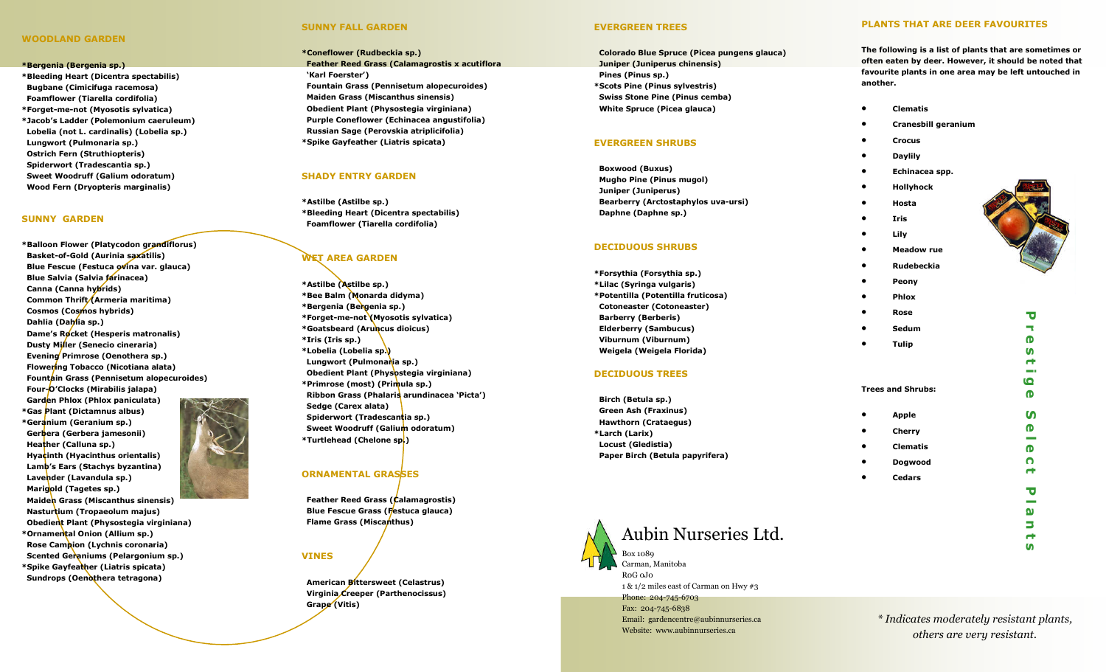## WOODLAND GARDEN

#### \*Bergenia (Bergenia sp.)

\*Bleeding Heart (Dicentra spectabilis) Bugbane (Cimicifuga racemosa) Foamflower (Tiarella cordifolia) \*Forget-me-not (Myosotis sylvatica) \*Jacob's Ladder (Polemonium caeruleum) Lobelia (not L. cardinalis) (Lobelia sp.) Lungwort (Pulmonaria sp.) Ostrich Fern (Struthiopteris) Spiderwort (Tradescantia sp.) Sweet Woodruff (Galium odoratum) Wood Fern (Dryopteris marginalis)

### SUNNY GARDEN

\*Balloon Flower (Platycodon grandiflorus) Basket-of-Gold (Aurinia saxatilis) Blue Fescue (Festuca ovina var. glauca) Blue Salvia (Salvia farinacea) Canna (Canna hybrids) Common Thrift/(Armeria maritima) Cosmos (Cosmos hybrids) Dahlia (Dahlia sp.) Dame's Rocket (Hesperis matronalis) Dusty Miller (Senecio cineraria) Evening Primrose (Oenothera sp.) Flowering Tobacco (Nicotiana alata) Fountain Grass (Pennisetum alopecuroides) Four-O'Clocks (Mirabilis jalapa) Garden Phlox (Phlox paniculata) \*Gas Plant (Dictamnus albus) \*Geranium (Geranium sp.) Gerbera (Gerbera jamesonii) Heather (Calluna sp.) Hyacinth (Hyacinthus orientalis) Lamb's Ears (Stachys byzantina) Lavender (Lavandula sp.) Marigold (Tagetes sp.) Maiden Grass (Miscanthus sinensis)

 Nasturtium (Tropaeolum majus) Obedient Plant (Physostegia virginiana) \*Ornamental Onion (Allium sp.) Rose Campion (Lychnis coronaria) Scented Geraniums (Pelargonium sp.) \*Spike Gayfeather (Liatris spicata) Sundrops (Oenothera tetragona)

# SUNNY FALL GARDEN

\*Coneflower (Rudbeckia sp.) Feather Reed Grass (Calamagrostis x acutiflora 'Karl Foerster') Fountain Grass (Pennisetum alopecuroides) Maiden Grass (Miscanthus sinensis) Obedient Plant (Physostegia virginiana) Purple Coneflower (Echinacea angustifolia) Russian Sage (Perovskia atriplicifolia) \*Spike Gayfeather (Liatris spicata)

### SHADY ENTRY GARDEN

\*Astilbe (Astilbe sp.) \*Bleeding Heart (Dicentra spectabilis) Foamflower (Tiarella cordifolia)

## WET AREA GARDEN

\*Astilbe (Astilbe sp.) \*Bee Balm (Monarda didyma) \*Bergenia (Bergenia sp.) \*Forget-me-not (Myosotis sylvatica) \*Goatsbeard (Aruncus dioicus) \*Iris (Iris sp.) \*Lobelia (Lobelia sp.) Lungwort (Pulmonaria sp.) Obedient Plant (Physostegia virginiana) \*Primrose (most) (Primula sp.) Ribbon Grass (Phalaris arundinacea 'Picta') Sedge (Carex alata) Spiderwort (Tradescantia sp.) Sweet Woodruff (Galium odoratum) \*Turtlehead (Chelone sp.)

# ORNAMENTAL GRASSES

 Feather Reed Grass (Calamagrostis) Blue Fescue Grass (Festuca glauca) Flame Grass (Miscanthus)

### VINES

 American Bittersweet (Celastrus) Virginia Creeper (Parthenocissus) Grape (Vitis)

### EVERGREEN TREES

 Colorado Blue Spruce (Picea pungens glauca) Juniper (Juniperus chinensis) Pines (Pinus sp.) \*Scots Pine (Pinus sylvestris) Swiss Stone Pine (Pinus cemba) White Spruce (Picea glauca)

### EVERGREEN SHRUBS

 Boxwood (Buxus) Mugho Pine (Pinus mugol) Juniper (Juniperus) Bearberry (Arctostaphylos uva-ursi) Daphne (Daphne sp.)

### DECIDUOUS SHRUBS

\*Forsythia (Forsythia sp.) \*Lilac (Syringa vulgaris) \*Potentilla (Potentilla fruticosa) Cotoneaster (Cotoneaster) Barberry (Berberis) Elderberry (Sambucus) Viburnum (Viburnum) Weigela (Weigela Florida)

### DECIDUOUS TREES

 Birch (Betula sp.) Green Ash (Fraxinus) Hawthorn (Crataegus) \*Larch (Larix) Locust (Gledistia) Paper Birch (Betula papyrifera)



# Aubin Nurseries Ltd.

Box 1089 Carman, Manitoba R0G 0J0 1 & 1/2 miles east of Carman on Hwy #3 Phone: 204-745-6703 Fax: 204-745-6838 Email: gardencentre@aubinnurseries.ca Website: www.aubinnurseries.ca

\* Indicates moderately resistant plants, others are very resistant.

### PLANTS THAT ARE DEER FAVOURITES

The following is a list of plants that are sometimes or often eaten by deer. However, it should be noted that favourite plants in one area may be left untouched in another.

- Clematis
- Cranesbill geranium
- Crocus
- Daylily
- Echinacea spp.
- Hollyhock
- Hosta
- Iris
- **Lily** • Meadow rue
- Rudebeckia
- Peony • Phlox
- 
- Rose • Sedum
- 
- Tulip
- Trees and Shrubs:
- Apple **Cherry** • Clematis
- Dogwood
- **Cedars**



 $\overline{\phantom{a}}$  $\bullet$  $\mathbf{v}$  $\blacksquare$ **COL** 6  $\bullet$  $\boldsymbol{\omega}$  $\bullet$  $\sim$  $\mathbf \Phi$  $\Omega$  $\blacksquare$  $\overline{\mathbf{U}}$ ۰  $\mathbf{\Omega}$ Ь  $\rightarrow$  $\mathbf{u}$